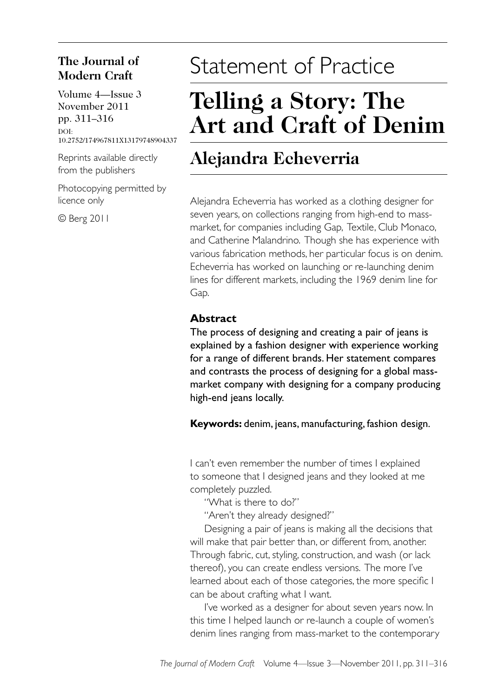#### The Journal of Modern Craft

Volume 4-Issue 3 November 2011 pp. 311-316 DOI: 10.2752/174967811X13179748904337

Reprints available directly from the publishers

Photocopying permitted by licence only

© Berg 2011

# Statement of Practice

## Telling a Story: The **Art and Craft of Denim**

### Alejandra Echeverria

Alejandra Echeverria has worked as a clothing designer for seven years, on collections ranging from high-end to massmarket, for companies including Gap, Textile, Club Monaco, and Catherine Malandrino. Though she has experience with various fabrication methods, her particular focus is on denim. Echeverria has worked on launching or re-launching denim lines for different markets, including the 1969 denim line for Gap.

### **Abstract**

The process of designing and creating a pair of jeans is explained by a fashion designer with experience working for a range of different brands. Her statement compares and contrasts the process of designing for a global massmarket company with designing for a company producing high-end jeans locally.

Keywords: denim, jeans, manufacturing, fashion design.

I can't even remember the number of times I explained to someone that I designed jeans and they looked at me completely puzzled.

"What is there to do?"

"Aren't they already designed?"

Designing a pair of jeans is making all the decisions that will make that pair better than, or different from, another. Through fabric, cut, styling, construction, and wash (or lack thereof), you can create endless versions. The more I've learned about each of those categories, the more specific I can be about crafting what I want.

I've worked as a designer for about seven years now. In this time I helped launch or re-launch a couple of women's denim lines ranging from mass-market to the contemporary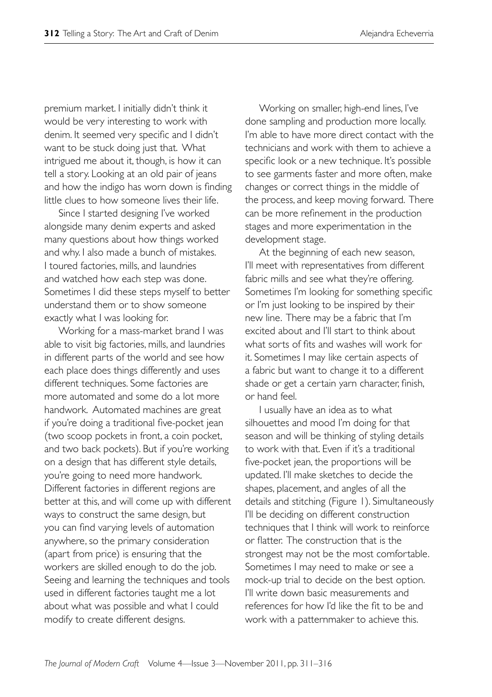premium market. I initially didn't think it would be very interesting to work with denim. It seemed very specific and I didn't want to be stuck doing just that. What intrigued me about it, though, is how it can tell a story. Looking at an old pair of jeans and how the indigo has worn down is finding little clues to how someone lives their life.

Since I started designing I've worked alongside many denim experts and asked many questions about how things worked and why. I also made a bunch of mistakes. I toured factories, mills, and laundries and watched how each step was done. Sometimes I did these steps myself to better understand them or to show someone exactly what I was looking for.

Working for a mass-market brand I was able to visit big factories, mills, and laundries in different parts of the world and see how each place does things differently and uses different techniques. Some factories are more automated and some do a lot more handwork. Automated machines are great if you're doing a traditional five-pocket jean (two scoop pockets in front, a coin pocket, and two back pockets). But if you're working on a design that has different style details, you're going to need more handwork. Different factories in different regions are better at this, and will come up with different ways to construct the same design, but you can find varying levels of automation anywhere, so the primary consideration (apart from price) is ensuring that the workers are skilled enough to do the job. Seeing and learning the techniques and tools used in different factories taught me a lot about what was possible and what I could modify to create different designs.

Working on smaller, high-end lines, I've done sampling and production more locally. I'm able to have more direct contact with the technicians and work with them to achieve a specific look or a new technique. It's possible to see garments faster and more often, make changes or correct things in the middle of the process, and keep moving forward. There can be more refinement in the production stages and more experimentation in the development stage.

At the beginning of each new season, I'll meet with representatives from different fabric mills and see what they're offering. Sometimes I'm looking for something specific or I'm just looking to be inspired by their new line. There may be a fabric that I'm excited about and I'll start to think about what sorts of fits and washes will work for it. Sometimes I may like certain aspects of a fabric but want to change it to a different shade or get a certain yarn character, finish, or hand feel.

I usually have an idea as to what silhouettes and mood I'm doing for that season and will be thinking of styling details to work with that. Even if it's a traditional five-pocket jean, the proportions will be updated. I'll make sketches to decide the shapes, placement, and angles of all the details and stitching (Figure 1). Simultaneously I'll be deciding on different construction techniques that I think will work to reinforce or flatter. The construction that is the strongest may not be the most comfortable. Sometimes I may need to make or see a mock-up trial to decide on the best option. I'll write down basic measurements and references for how I'd like the fit to be and work with a patternmaker to achieve this.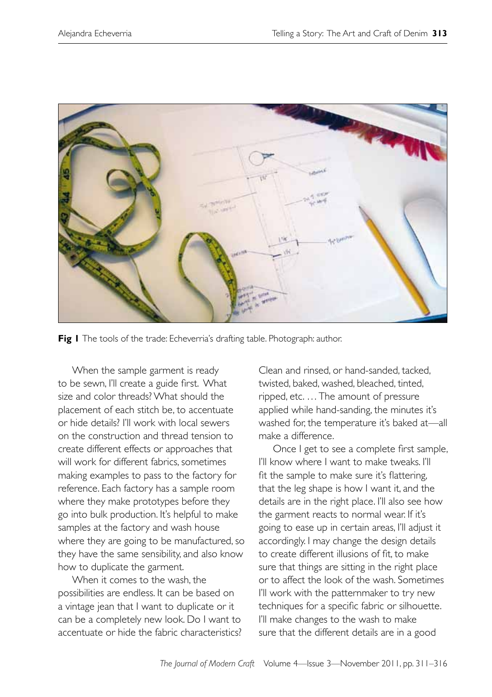

Fig I The tools of the trade: Echeverria's drafting table. Photograph: author.

When the sample garment is ready to be sewn, I'll create a guide first. What size and color threads? What should the placement of each stitch be, to accentuate or hide details? I'll work with local sewers on the construction and thread tension to create different effects or approaches that will work for different fabrics, sometimes making examples to pass to the factory for reference. Each factory has a sample room where they make prototypes before they go into bulk production. It's helpful to make samples at the factory and wash house where they are going to be manufactured, so they have the same sensibility, and also know how to duplicate the garment.

When it comes to the wash, the possibilities are endless. It can be based on a vintage jean that I want to duplicate or it can be a completely new look. Do I want to accentuate or hide the fabric characteristics? Clean and rinsed, or hand-sanded, tacked, twisted, baked, washed, bleached, tinted, ripped, etc. ... The amount of pressure applied while hand-sanding, the minutes it's washed for, the temperature it's baked at-all make a difference.

Once I get to see a complete first sample, I'll know where I want to make tweaks. I'll fit the sample to make sure it's flattering. that the leg shape is how I want it, and the details are in the right place. I'll also see how the garment reacts to normal wear. If it's going to ease up in certain areas, I'll adjust it accordingly. I may change the design details to create different illusions of fit, to make sure that things are sitting in the right place or to affect the look of the wash. Sometimes I'll work with the patternmaker to try new techniques for a specific fabric or silhouette. I'll make changes to the wash to make sure that the different details are in a good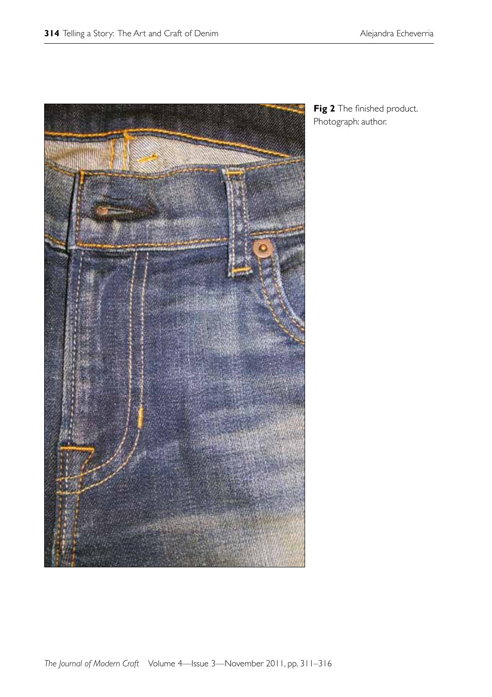

Fig 2 The finished product. Photograph: author.